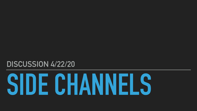# **SIDE CHANNELS**



# **DISCUSSION 4/22/20**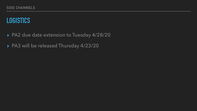# **LOGISTICS**

### ▸ PA2 due date extension to Tuesday 4/28/20

### ▸ PA3 will be released Thursday 4/23/20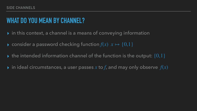- ▸ in this context, a channel is a means of conveying information
- $\blacktriangleright$  consider a password checking function  $f(x)$   $x \mapsto \{0,1\}$
- $\blacktriangleright$  the intended information channel of the function is the output:  $\{0,1\}$
- $\blacktriangleright$  in ideal circumstances, a user passes  $x$  to  $f$ , and may only observe  $f(x)$

# **WHAT DO YOU MEAN BY CHANNEL?**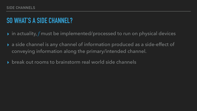# **SO WHAT'S A SIDE CHANNEL?**

- $\blacktriangleright$  in actuality,  $f$  must be implemented/processed to run on physical devices
- ▸ a side channel is any channel of information produced as a side-effect of conveying information along the primary/intended channel.
- ▸ break out rooms to brainstorm real world side channels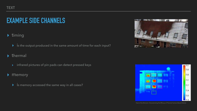# **EXAMPLE SIDE CHANNELS**

### ▸ timing

▸ is the output produced in the same amount of time for each input?

### ▸ thermal

▸ infrared pictures of pin pads can detect pressed keys

### ▸ memory

▸ is memory accessed the same way in all cases?





Heat of the Moment: Characterizing the Efficacy of Thermal Camera-Based Attacks

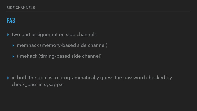# **PA3**

- ▸ two part assignment on side channels
	- ▸ memhack (memory-based side channel)
	- ▸ timehack (timing-based side channel)

▸ in both the goal is to programmatically guess the password checked by check\_pass in sysapp.c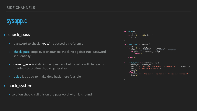### **sysapp.c**

### ▸ check\_pass

- ▸ password to check (\*pass) is passed by reference
- ▸ check\_pass loops over characters checking against true password sequentially
- ▸ correct\_pass is static in the given vm, but its value will change for grading so solution should generalize
- ▸ delay is added to make time hack more feasible

### hack\_system

▸ solution should call this on the password when it is found

```
void delay() { 
     int j, q; 
    for (j = 0; j < 100; j++) {
        q = q + j; } 
} 
int check_pass(char *pass) { 
     int i; 
    for (i = 0; i \leq s trlen(correct_pass); i++) {
        delay(); // artificial delay added for timehack
         if (pass[i] != correct_pass[i]) 
             return 0; 
 } 
     return 1; 
}; 
void hack_system(char *correct_pass) { 
     if (check_pass(correct_pass)) { 
        printf("OK: You have found correct password: '%s'\n", correct_pass);
        printf("OK: Congratulations!\n");
         exit(0); 
     } else { 
        printf("FAIL: The password is not correct! You have failed\n");
        ext(3);
     }; 
};
```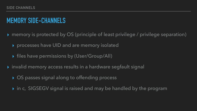# **MEMORY SIDE-CHANNELS**

### ▸ memory is protected by OS (principle of least privilege / privilege separation)



- - ▸ processes have UID and are memory isolated
	- ▸ files have permissions by (User/Group/All)
- ▸ invalid memory access results in a hardware segfault signal
	- ▸ OS passes signal along to offending process
	- ▸ in c, SIGSEGV signal is raised and may be handled by the program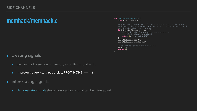### **memhack/memhack.c**

- ▸ creating signals
	- we can mark a section of memory as off limits to all with:
	- ▸ mprotect(page\_start, page\_size, PROT\_NONE) == -1)
- ▸ intercepting signals
	- ▸ demonstrate\_signals shows how segfault signal can be intercepted

```
int demonstrate_signals() { 
     char *buf = page_start; 
    // this call arranges that _if_ there is a SEGV fault in the future
    // (anywhere in the program) then control will transfer directly to this
     // point with sigsetjmp returning 1
    if (sigsetjmp(jumpout, 1) == 1) \overline{\{} // Code in this if block will execute whenever a 
         // segfault signal is produced
         return 1; // we had a SEGV
 } 
    signal(SIGSEGV, SIG_DFL);
     signal(SIGSEGV, &handle_SEGV); 
     // We will now cause a fault to happen
    *buf = 0;
     return 0; 
}
```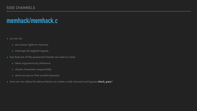### **SIDE CHANNELS**

### **memhack/memhack.c**

- ◆ so, we can
	- ▶ set access rights to memory
	- ▸ intercept all segfault signals
- ▸ key features of the password checker we seek to crack:
	- ▸ takes arguments by reference
	- ▸ checks characters sequentially
	- ▸ short circuits on first invalid character
- ▶ how can we utilize the above factors to create a side channel and bypass check\_pass?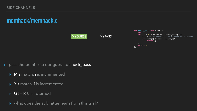### **memhack/memhack.c**



### ▸ pass the pointer to our guess to check\_pass

- ▸ M's match, i is incremented
- ▸ Y's match, i is incremented
- ▸ G != P, 0 is returned
- ▸ what does the submitter learn from this trial?



```
int check_pass(char *pass) { 
    int i; 
   for (i = 0; i \leq s trlen(correct_pass); i++) {
delay(); // artificial delay added for timehack
 if (pass[i] != correct_pass[i]) 
            return 0; 
 } 
    return 1; 
};
```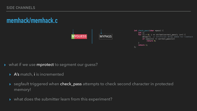### **SIDE CHANNELS**

### **memhack/memhack.c**



### ▸ what if we use mprotect to segment our guess?

- ▸ A's match, i is incremented
- ▶ segfault triggered when check\_pass attempts to check second character in protected memory!
- ▸ what does the submitter learn from this experiment?

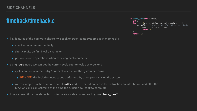- ▸ key features of the password checker we seek to crack (same sysapp.c as in memhack):
	- ▸ checks characters sequentially
	- ▶ short circuits on first invalid character
	- ▸ performs same operations when checking each character
- using rdtsc macro we can get the current cycle counter value as type long
	- ▸ cycle counter increments by 1 for each instruction the system performs
		- ▸ BEWARE: this includes instructions performed by other programs on the system!
	- ▶ we can wrap a function call with calls to rdtsc and use the difference in the instruction counter before and after the function call as an estimate of the time the function call took to complete
- ▶ how can we utilize the above factors to create a side channel and bypass check\_pass?

```
int check_pass(char *pass) { 
     int i; 
    for (i = 0; i \leq s trlen(correct_pass); i++) {
        delay(); // artificial delay added for timehack
         if (pass[i] != correct_pass[i]) 
             return 0; 
 } 
     return 1; 
};
```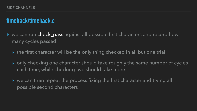### ▸ we can run check\_pass against all possible first characters and record how

- many cycles passed
	- ▸ the first character will be the only thing checked in all but one trial
	- ▸ only checking one character should take roughly the same number of cycles each time, while checking two should take more
	- ▸ we can then repeat the process fixing the first character and trying all possible second characters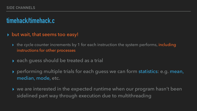▸ the cycle counter increments by 1 for each instruction the system performs, including

- ▸ but wait, that seems too easy!
	- instructions for other processes
	- ▸ each guess should be treated as a trial
	- median, mode, etc.
	- sidelined part way through execution due to multithreading

▸ performing multiple trials for each guess we can form statistics: e.g. mean,

▸ we are interested in the expected runtime when our program hasn't been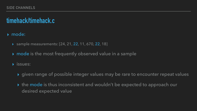### ▸ mode:

- ▶ sample measurements: [24, 21, 22, 11, 670, 22, 18]
- ▸ mode is the most frequently observed value in a sample

### ▸ issues:

- ▶ given range of possible integer values may be rare to encounter repeat values ▸ the mode is thus inconsistent and wouldn't be expected to approach our
- desired expected value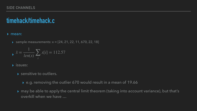### ▸ mean:

▶ sample measurements:  $x = [24, 21, 22, 11, 670, 22, 18]$ 

- ▸ issues:
	- ▸ sensitive to outliers.
		- ▸ e.g. removing the outlier 670 would result in a mean of 19.66
	- overkill when we have …

$$
\sqrt{x} = \frac{1}{len(x)} \sum_{i} x[i] = 112.57
$$

▸ may be able to apply the central limit theorem (taking into account variance), but that's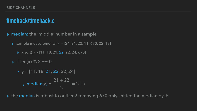▸ median: the 'middle' number in a sample

▶ sample measurements:  $x = [24, 21, 22, 11, 670, 22, 18]$ 

▶ x.sort() -> [11, 18, 21, 22, 22, 24, 670]

 $\triangleright$  if len(x) % 2 == 0

 $\rightarrow y = [11, 18, 21, 22, 22, 24]$ 

 $\rightarrow$  median(y) =  $21 + 22$ 2  $= 21.5$ 

▸ the median is robust to outliers! removing 670 only shifted the median by .5